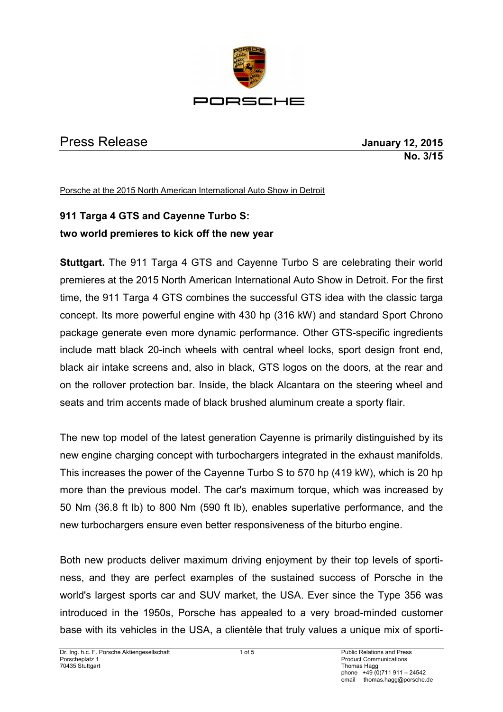

## Press Release **January 12, 2015**

# **No. 3/15**

Porsche at the 2015 North American International Auto Show in Detroit

## **911 Targa 4 GTS and Cayenne Turbo S: two world premieres to kick off the new year**

**Stuttgart.** The 911 Targa 4 GTS and Cayenne Turbo S are celebrating their world premieres at the 2015 North American International Auto Show in Detroit. For the first time, the 911 Targa 4 GTS combines the successful GTS idea with the classic targa concept. Its more powerful engine with 430 hp (316 kW) and standard Sport Chrono package generate even more dynamic performance. Other GTS-specific ingredients include matt black 20-inch wheels with central wheel locks, sport design front end, black air intake screens and, also in black, GTS logos on the doors, at the rear and on the rollover protection bar. Inside, the black Alcantara on the steering wheel and seats and trim accents made of black brushed aluminum create a sporty flair.

The new top model of the latest generation Cayenne is primarily distinguished by its new engine charging concept with turbochargers integrated in the exhaust manifolds. This increases the power of the Cayenne Turbo S to 570 hp (419 kW), which is 20 hp more than the previous model. The car's maximum torque, which was increased by 50 Nm (36.8 ft lb) to 800 Nm (590 ft lb), enables superlative performance, and the new turbochargers ensure even better responsiveness of the biturbo engine.

Both new products deliver maximum driving enjoyment by their top levels of sportiness, and they are perfect examples of the sustained success of Porsche in the world's largest sports car and SUV market, the USA. Ever since the Type 356 was introduced in the 1950s, Porsche has appealed to a very broad-minded customer base with its vehicles in the USA, a clientèle that truly values a unique mix of sporti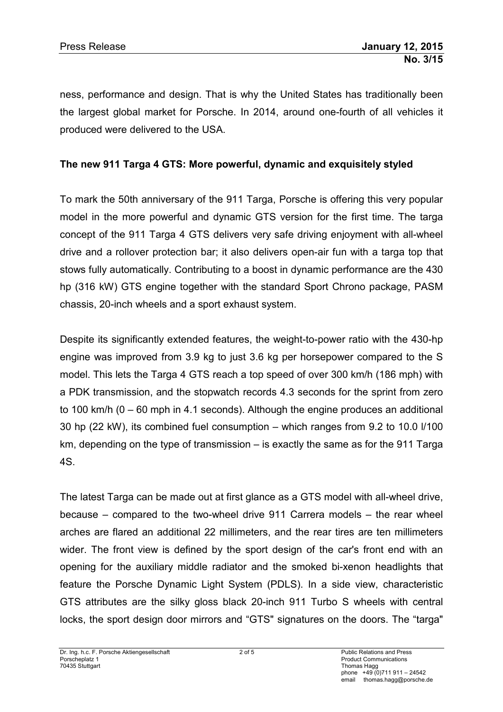ness, performance and design. That is why the United States has traditionally been the largest global market for Porsche. In 2014, around one-fourth of all vehicles it produced were delivered to the USA.

#### **The new 911 Targa 4 GTS: More powerful, dynamic and exquisitely styled**

To mark the 50th anniversary of the 911 Targa, Porsche is offering this very popular model in the more powerful and dynamic GTS version for the first time. The targa concept of the 911 Targa 4 GTS delivers very safe driving enjoyment with all-wheel drive and a rollover protection bar; it also delivers open-air fun with a targa top that stows fully automatically. Contributing to a boost in dynamic performance are the 430 hp (316 kW) GTS engine together with the standard Sport Chrono package, PASM chassis, 20-inch wheels and a sport exhaust system.

Despite its significantly extended features, the weight-to-power ratio with the 430-hp engine was improved from 3.9 kg to just 3.6 kg per horsepower compared to the S model. This lets the Targa 4 GTS reach a top speed of over 300 km/h (186 mph) with a PDK transmission, and the stopwatch records 4.3 seconds for the sprint from zero to 100 km/h (0 – 60 mph in 4.1 seconds). Although the engine produces an additional 30 hp (22 kW), its combined fuel consumption – which ranges from 9.2 to 10.0 l/100 km, depending on the type of transmission – is exactly the same as for the 911 Targa 4S.

The latest Targa can be made out at first glance as a GTS model with all-wheel drive, because – compared to the two-wheel drive 911 Carrera models – the rear wheel arches are flared an additional 22 millimeters, and the rear tires are ten millimeters wider. The front view is defined by the sport design of the car's front end with an opening for the auxiliary middle radiator and the smoked bi-xenon headlights that feature the Porsche Dynamic Light System (PDLS). In a side view, characteristic GTS attributes are the silky gloss black 20-inch 911 Turbo S wheels with central locks, the sport design door mirrors and "GTS" signatures on the doors. The "targa"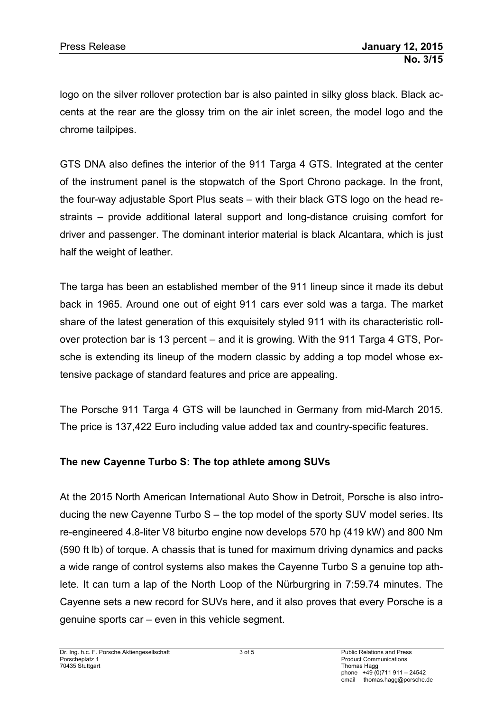logo on the silver rollover protection bar is also painted in silky gloss black. Black accents at the rear are the glossy trim on the air inlet screen, the model logo and the chrome tailpipes.

GTS DNA also defines the interior of the 911 Targa 4 GTS. Integrated at the center of the instrument panel is the stopwatch of the Sport Chrono package. In the front, the four-way adjustable Sport Plus seats – with their black GTS logo on the head restraints – provide additional lateral support and long-distance cruising comfort for driver and passenger. The dominant interior material is black Alcantara, which is just half the weight of leather.

The targa has been an established member of the 911 lineup since it made its debut back in 1965. Around one out of eight 911 cars ever sold was a targa. The market share of the latest generation of this exquisitely styled 911 with its characteristic rollover protection bar is 13 percent – and it is growing. With the 911 Targa 4 GTS, Porsche is extending its lineup of the modern classic by adding a top model whose extensive package of standard features and price are appealing.

The Porsche 911 Targa 4 GTS will be launched in Germany from mid-March 2015. The price is 137,422 Euro including value added tax and country-specific features.

### **The new Cayenne Turbo S: The top athlete among SUVs**

At the 2015 North American International Auto Show in Detroit, Porsche is also introducing the new Cayenne Turbo S – the top model of the sporty SUV model series. Its re-engineered 4.8-liter V8 biturbo engine now develops 570 hp (419 kW) and 800 Nm (590 ft lb) of torque. A chassis that is tuned for maximum driving dynamics and packs a wide range of control systems also makes the Cayenne Turbo S a genuine top athlete. It can turn a lap of the North Loop of the Nürburgring in 7:59.74 minutes. The Cayenne sets a new record for SUVs here, and it also proves that every Porsche is a genuine sports car – even in this vehicle segment.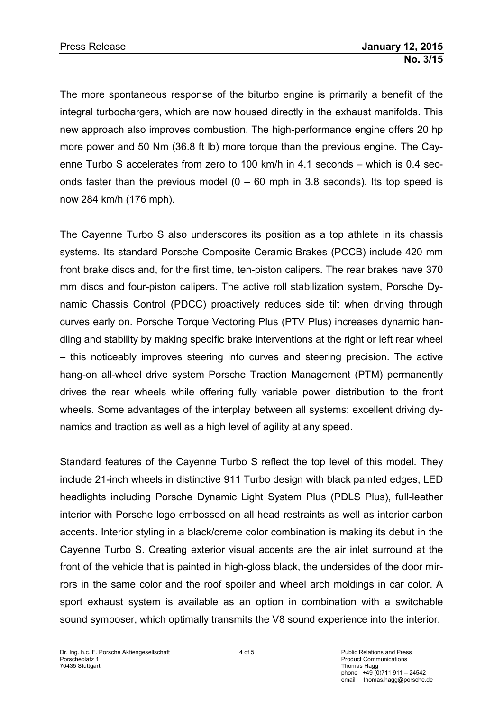The more spontaneous response of the biturbo engine is primarily a benefit of the integral turbochargers, which are now housed directly in the exhaust manifolds. This new approach also improves combustion. The high-performance engine offers 20 hp more power and 50 Nm (36.8 ft lb) more torque than the previous engine. The Cayenne Turbo S accelerates from zero to 100 km/h in 4.1 seconds – which is 0.4 seconds faster than the previous model  $(0 - 60$  mph in 3.8 seconds). Its top speed is now 284 km/h (176 mph).

The Cayenne Turbo S also underscores its position as a top athlete in its chassis systems. Its standard Porsche Composite Ceramic Brakes (PCCB) include 420 mm front brake discs and, for the first time, ten-piston calipers. The rear brakes have 370 mm discs and four-piston calipers. The active roll stabilization system, Porsche Dynamic Chassis Control (PDCC) proactively reduces side tilt when driving through curves early on. Porsche Torque Vectoring Plus (PTV Plus) increases dynamic handling and stability by making specific brake interventions at the right or left rear wheel – this noticeably improves steering into curves and steering precision. The active hang-on all-wheel drive system Porsche Traction Management (PTM) permanently drives the rear wheels while offering fully variable power distribution to the front wheels. Some advantages of the interplay between all systems: excellent driving dynamics and traction as well as a high level of agility at any speed.

Standard features of the Cayenne Turbo S reflect the top level of this model. They include 21-inch wheels in distinctive 911 Turbo design with black painted edges, LED headlights including Porsche Dynamic Light System Plus (PDLS Plus), full-leather interior with Porsche logo embossed on all head restraints as well as interior carbon accents. Interior styling in a black/creme color combination is making its debut in the Cayenne Turbo S. Creating exterior visual accents are the air inlet surround at the front of the vehicle that is painted in high-gloss black, the undersides of the door mirrors in the same color and the roof spoiler and wheel arch moldings in car color. A sport exhaust system is available as an option in combination with a switchable sound symposer, which optimally transmits the V8 sound experience into the interior.